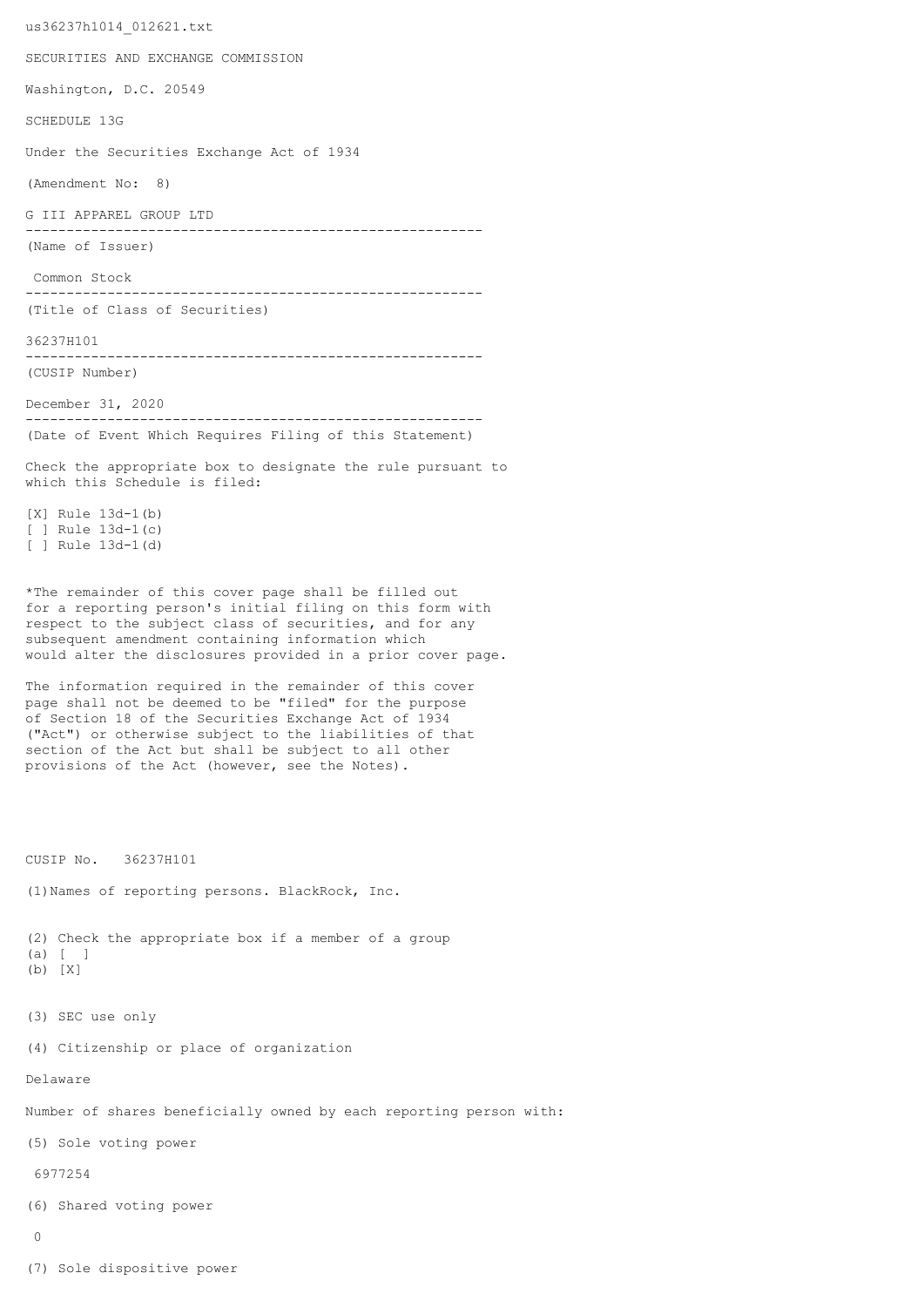us36237h1014\_012621.txt SECURITIES AND EXCHANGE COMMISSION Washington, D.C. 20549 SCHEDULE 13G Under the Securities Exchange Act of 1934 (Amendment No: 8) G III APPAREL GROUP LTD -------------------------------------------------------- (Name of Issuer) Common Stock -------------------------------------------------------- (Title of Class of Securities) 36237H101 -------------------------------------------------------- (CUSIP Number) December 31, 2020 -------------------------------------------------------- (Date of Event Which Requires Filing of this Statement) Check the appropriate box to designate the rule pursuant to which this Schedule is filed: [X] Rule 13d-1(b) [ ] Rule 13d-1(c) [ ] Rule 13d-1(d) \*The remainder of this cover page shall be filled out for a reporting person's initial filing on this form with respect to the subject class of securities, and for any subsequent amendment containing information which would alter the disclosures provided in a prior cover page. The information required in the remainder of this cover page shall not be deemed to be "filed" for the purpose of Section 18 of the Securities Exchange Act of 1934 ("Act") or otherwise subject to the liabilities of that section of the Act but shall be subject to all other provisions of the Act (however, see the Notes). CUSIP No. 36237H101 (1)Names of reporting persons. BlackRock, Inc. (2) Check the appropriate box if a member of a group (a) [ ] (b) [X] (3) SEC use only (4) Citizenship or place of organization Delaware Number of shares beneficially owned by each reporting person with: (5) Sole voting power 6977254 (6) Shared voting power  $\cap$ (7) Sole dispositive power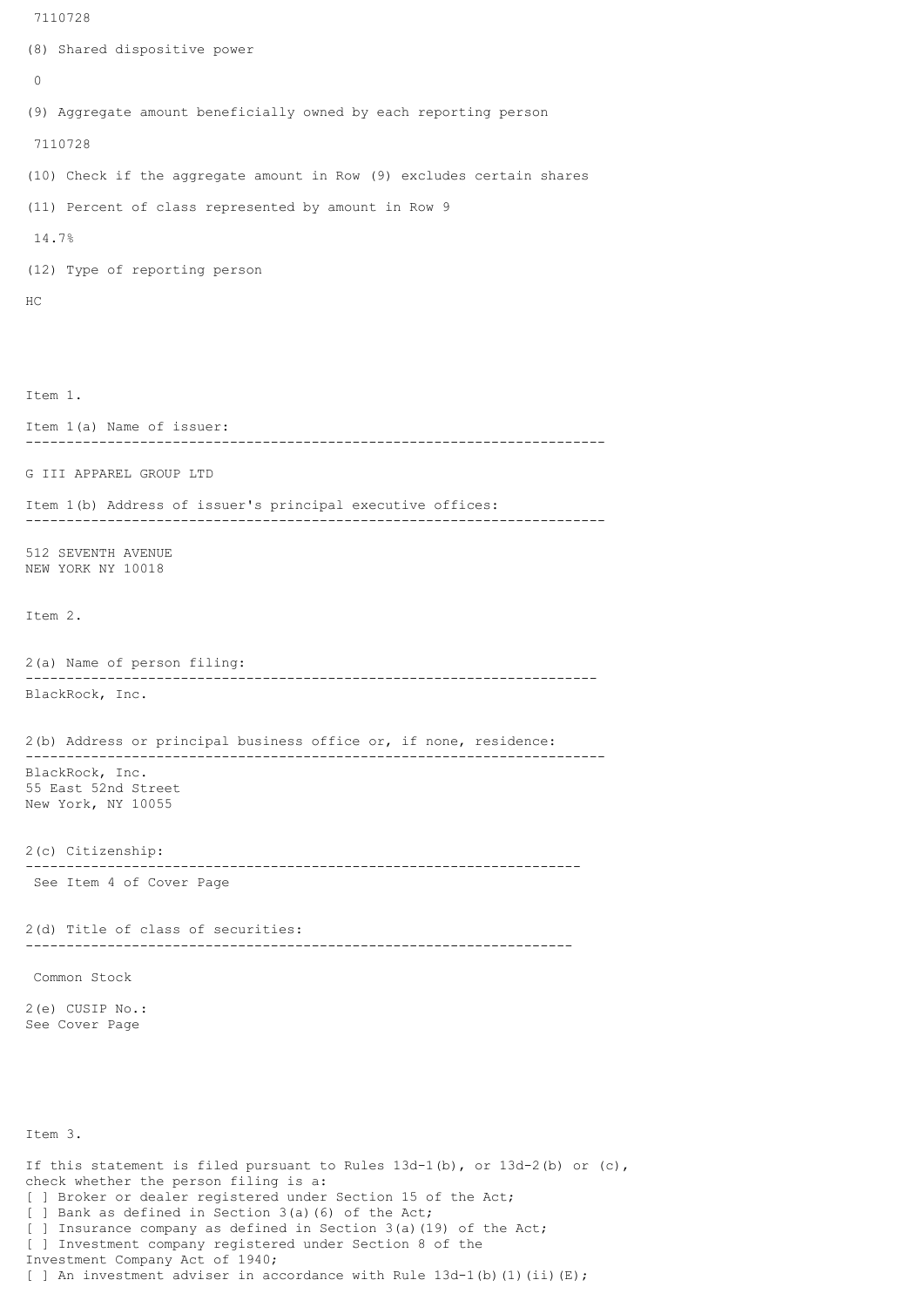```
(8) Shared dispositive power
 \Omega(9) Aggregate amount beneficially owned by each reporting person
 7110728
(10) Check if the aggregate amount in Row (9) excludes certain shares
(11) Percent of class represented by amount in Row 9
 14.7%
(12) Type of reporting person
HC
Item 1.
Item 1(a) Name of issuer:
          -----------------------------------------------------------------------
G III APPAREL GROUP LTD
Item 1(b) Address of issuer's principal executive offices:
-----------------------------------------------------------------------
512 SEVENTH AVENUE
NEW YORK NY 10018
Item 2.
2(a) Name of person filing:
    ----------------------------------------------------------------------
BlackRock, Inc.
2(b) Address or principal business office or, if none, residence:
-----------------------------------------------------------------------
BlackRock, Inc.
55 East 52nd Street
New York, NY 10055
2(c) Citizenship:
 --------------------------------------------------------------------
 See Item 4 of Cover Page
2(d) Title of class of securities:
                                    -------------------------------------------------------------------
 Common Stock
2(e) CUSIP No.:
See Cover Page
Item 3.
If this statement is filed pursuant to Rules 13d-1(b), or 13d-2(b) or (c),
check whether the person filing is a:
[ ] Broker or dealer registered under Section 15 of the Act;
[ ] Bank as defined in Section 3(a)(6) of the Act;
[ ] Insurance company as defined in Section 3(a)(19) of the Act;
```
[ ] Investment company registered under Section 8 of the

[ ] An investment adviser in accordance with Rule  $13d-1$ (b)(1)(ii)(E);

Investment Company Act of 1940;

7110728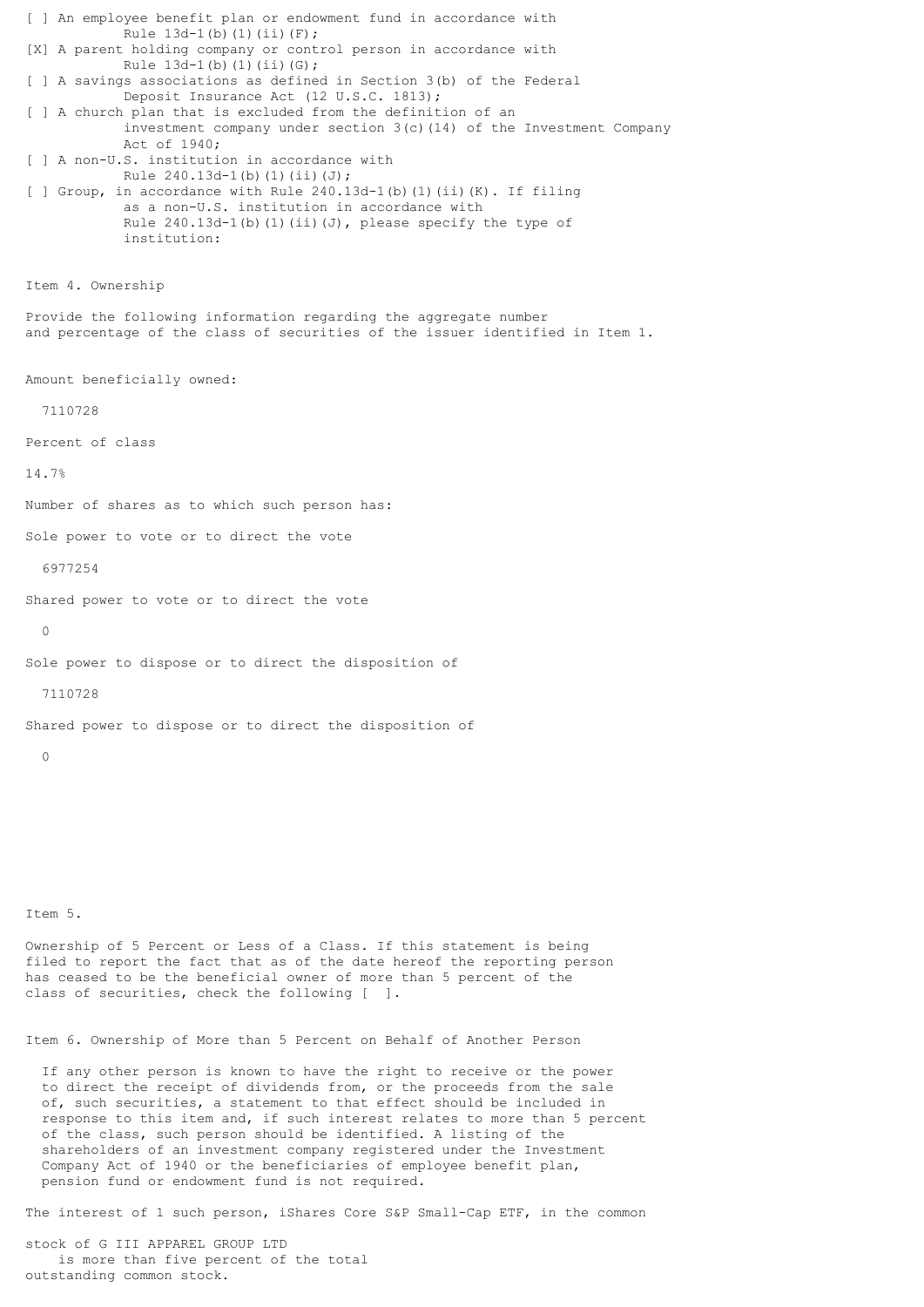[ ] An employee benefit plan or endowment fund in accordance with Rule 13d-1(b)(1)(ii)(F); [X] A parent holding company or control person in accordance with Rule  $13d-1(b)(1)(ii)(G);$ [ ] A savings associations as defined in Section 3(b) of the Federal Deposit Insurance Act (12 U.S.C. 1813); [ ] A church plan that is excluded from the definition of an investment company under section  $3(c)$  (14) of the Investment Company Act of 1940; [ ] A non-U.S. institution in accordance with Rule  $240.13d-1(b)(1)(ii)(J);$ [ ] Group, in accordance with Rule 240.13d-1(b)(1)(ii)(K). If filing as a non-U.S. institution in accordance with Rule  $240.13d-1$ (b)(1)(ii)(J), please specify the type of institution: Item 4. Ownership Provide the following information regarding the aggregate number and percentage of the class of securities of the issuer identified in Item 1. Amount beneficially owned: 7110728 Percent of class 14.7% Number of shares as to which such person has: Sole power to vote or to direct the vote 6977254 Shared power to vote or to direct the vote  $\Omega$ Sole power to dispose or to direct the disposition of 7110728 Shared power to dispose or to direct the disposition of  $\cap$ Item 5. Ownership of 5 Percent or Less of a Class. If this statement is being filed to report the fact that as of the date hereof the reporting person

Item 6. Ownership of More than 5 Percent on Behalf of Another Person

has ceased to be the beneficial owner of more than 5 percent of the

 If any other person is known to have the right to receive or the power to direct the receipt of dividends from, or the proceeds from the sale of, such securities, a statement to that effect should be included in response to this item and, if such interest relates to more than 5 percent of the class, such person should be identified. A listing of the shareholders of an investment company registered under the Investment Company Act of 1940 or the beneficiaries of employee benefit plan, pension fund or endowment fund is not required.

The interest of 1 such person, iShares Core S&P Small-Cap ETF, in the common

stock of G III APPAREL GROUP LTD is more than five percent of the total outstanding common stock.

class of securities, check the following [ ].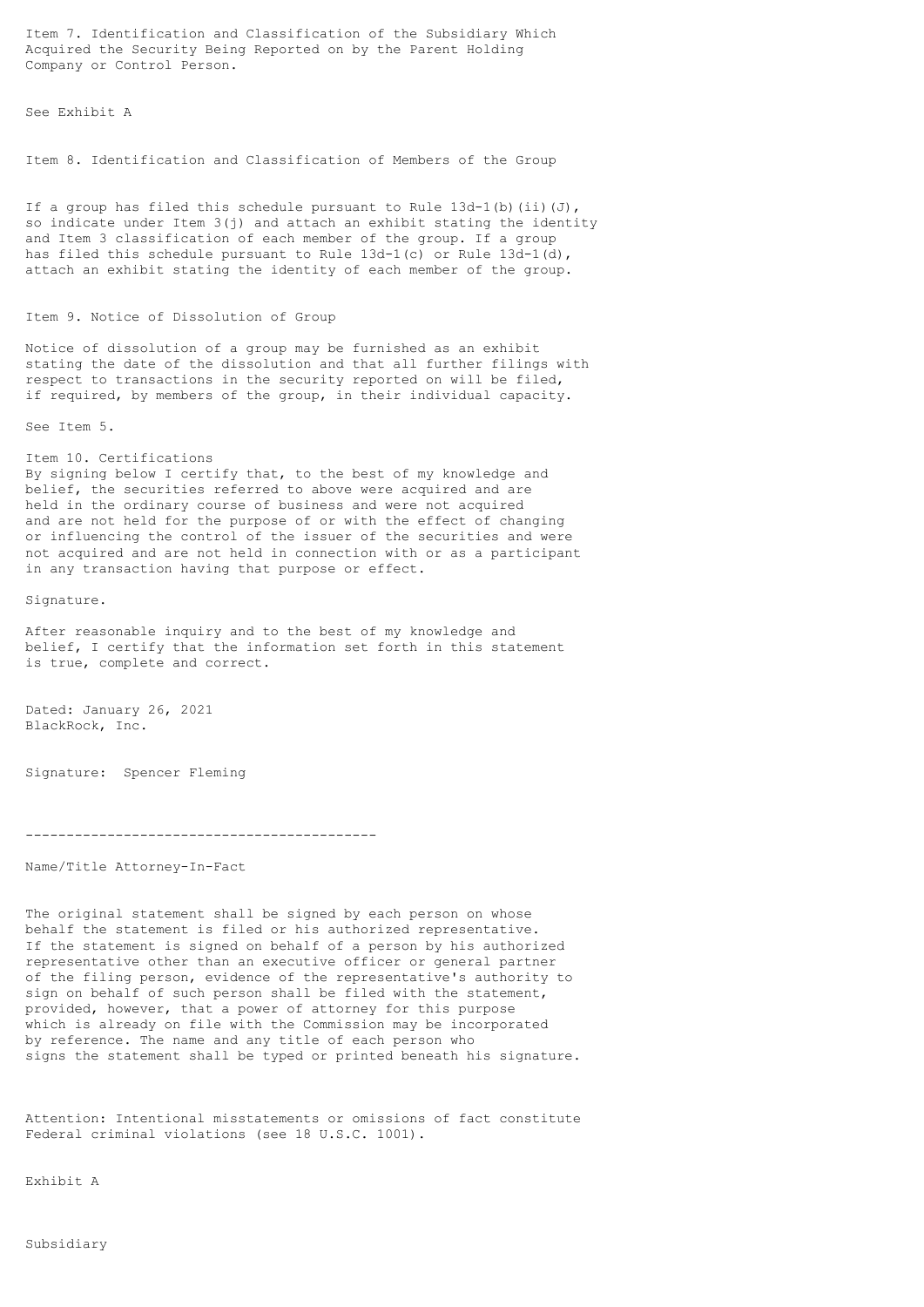Item 7. Identification and Classification of the Subsidiary Which Acquired the Security Being Reported on by the Parent Holding Company or Control Person.

## See Exhibit A

Item 8. Identification and Classification of Members of the Group

If a group has filed this schedule pursuant to Rule  $13d-1(b)$  (ii)(J), so indicate under Item 3(j) and attach an exhibit stating the identity and Item 3 classification of each member of the group. If a group has filed this schedule pursuant to Rule 13d-1(c) or Rule 13d-1(d), attach an exhibit stating the identity of each member of the group.

## Item 9. Notice of Dissolution of Group

Notice of dissolution of a group may be furnished as an exhibit stating the date of the dissolution and that all further filings with respect to transactions in the security reported on will be filed, if required, by members of the group, in their individual capacity.

See Item 5.

Item 10. Certifications By signing below I certify that, to the best of my knowledge and belief, the securities referred to above were acquired and are held in the ordinary course of business and were not acquired and are not held for the purpose of or with the effect of changing or influencing the control of the issuer of the securities and were not acquired and are not held in connection with or as a participant in any transaction having that purpose or effect.

## Signature.

After reasonable inquiry and to the best of my knowledge and belief, I certify that the information set forth in this statement is true, complete and correct.

Dated: January 26, 2021 BlackRock, Inc.

Signature: Spencer Fleming

-------------------------------------------

Name/Title Attorney-In-Fact

The original statement shall be signed by each person on whose behalf the statement is filed or his authorized representative. If the statement is signed on behalf of a person by his authorized representative other than an executive officer or general partner of the filing person, evidence of the representative's authority to sign on behalf of such person shall be filed with the statement, provided, however, that a power of attorney for this purpose which is already on file with the Commission may be incorporated by reference. The name and any title of each person who signs the statement shall be typed or printed beneath his signature.

Attention: Intentional misstatements or omissions of fact constitute Federal criminal violations (see 18 U.S.C. 1001).

Exhibit A